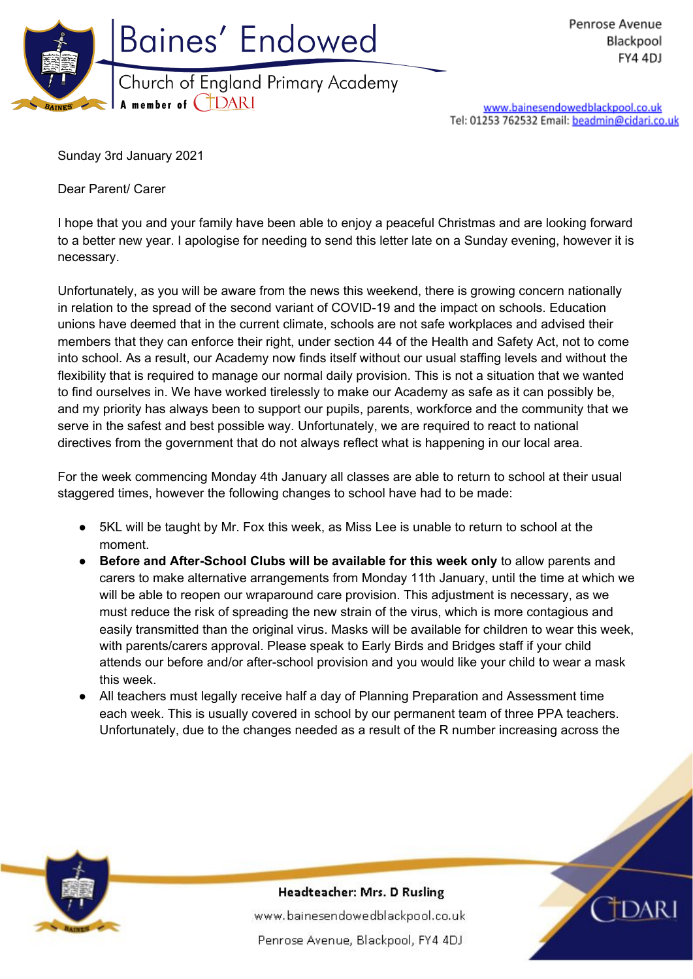

www.bainesendowedblackpool.co.uk Tel: 01253 762532 Email: beadmin@cidari.co.uk

Sunday 3rd January 2021

Dear Parent/ Carer

I hope that you and your family have been able to enjoy a peaceful Christmas and are looking forward to a better new year. I apologise for needing to send this letter late on a Sunday evening, however it is necessary.

Unfortunately, as you will be aware from the news this weekend, there is growing concern nationally in relation to the spread of the second variant of COVID-19 and the impact on schools. Education unions have deemed that in the current climate, schools are not safe workplaces and advised their members that they can enforce their right, under section 44 of the Health and Safety Act, not to come into school. As a result, our Academy now finds itself without our usual staffing levels and without the flexibility that is required to manage our normal daily provision. This is not a situation that we wanted to find ourselves in. We have worked tirelessly to make our Academy as safe as it can possibly be, and my priority has always been to support our pupils, parents, workforce and the community that we serve in the safest and best possible way. Unfortunately, we are required to react to national directives from the government that do not always reflect what is happening in our local area.

For the week commencing Monday 4th January all classes are able to return to school at their usual staggered times, however the following changes to school have had to be made:

- 5KL will be taught by Mr. Fox this week, as Miss Lee is unable to return to school at the moment.
- **Before and After-School Clubs will be available for this week only** to allow parents and carers to make alternative arrangements from Monday 11th January, until the time at which we will be able to reopen our wraparound care provision. This adjustment is necessary, as we must reduce the risk of spreading the new strain of the virus, which is more contagious and easily transmitted than the original virus. Masks will be available for children to wear this week, with parents/carers approval. Please speak to Early Birds and Bridges staff if your child attends our before and/or after-school provision and you would like your child to wear a mask this week.
- All teachers must legally receive half a day of Planning Preparation and Assessment time each week. This is usually covered in school by our permanent team of three PPA teachers. Unfortunately, due to the changes needed as a result of the R number increasing across the



Headteacher: Mrs. D Rusling

www.bainesendowedblackpool.co.uk Penrose Avenue, Blackpool, FY4 4DJ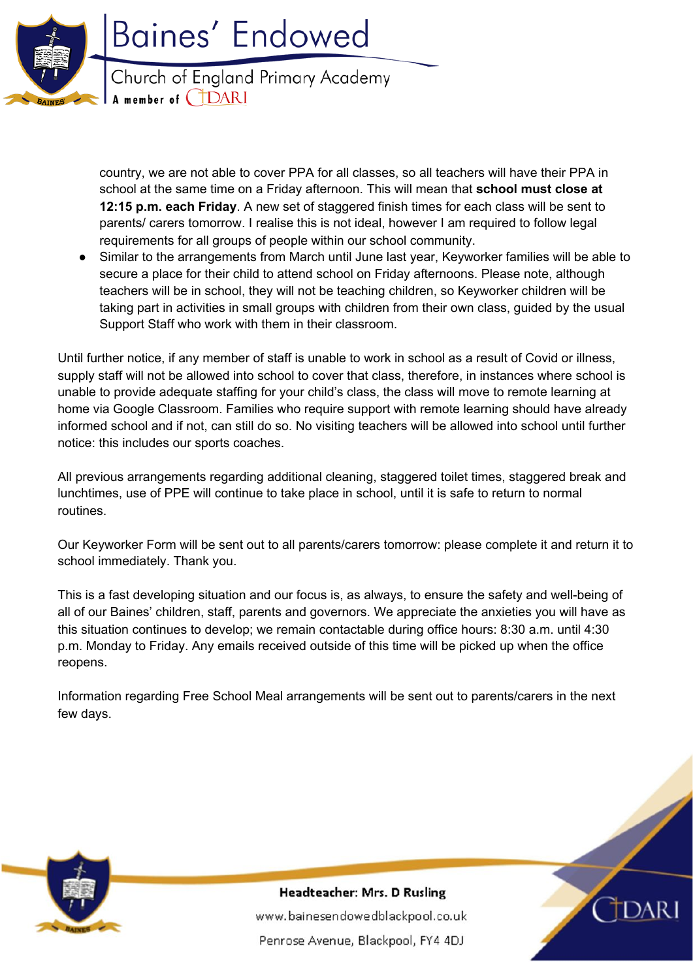

country, we are not able to cover PPA for all classes, so all teachers will have their PPA in school at the same time on a Friday afternoon. This will mean that **school must close at 12:15 p.m. each Friday**. A new set of staggered finish times for each class will be sent to parents/ carers tomorrow. I realise this is not ideal, however I am required to follow legal requirements for all groups of people within our school community.

Similar to the arrangements from March until June last year, Keyworker families will be able to secure a place for their child to attend school on Friday afternoons. Please note, although teachers will be in school, they will not be teaching children, so Keyworker children will be taking part in activities in small groups with children from their own class, guided by the usual Support Staff who work with them in their classroom.

Until further notice, if any member of staff is unable to work in school as a result of Covid or illness, supply staff will not be allowed into school to cover that class, therefore, in instances where school is unable to provide adequate staffing for your child's class, the class will move to remote learning at home via Google Classroom. Families who require support with remote learning should have already informed school and if not, can still do so. No visiting teachers will be allowed into school until further notice: this includes our sports coaches.

All previous arrangements regarding additional cleaning, staggered toilet times, staggered break and lunchtimes, use of PPE will continue to take place in school, until it is safe to return to normal routines.

Our Keyworker Form will be sent out to all parents/carers tomorrow: please complete it and return it to school immediately. Thank you.

This is a fast developing situation and our focus is, as always, to ensure the safety and well-being of all of our Baines' children, staff, parents and governors. We appreciate the anxieties you will have as this situation continues to develop; we remain contactable during office hours: 8:30 a.m. until 4:30 p.m. Monday to Friday. Any emails received outside of this time will be picked up when the office reopens.

Information regarding Free School Meal arrangements will be sent out to parents/carers in the next few days.



Headteacher: Mrs. D Rusling www.bainesendowedblackpool.co.uk Penrose Avenue, Blackpool, FY4 4DJ